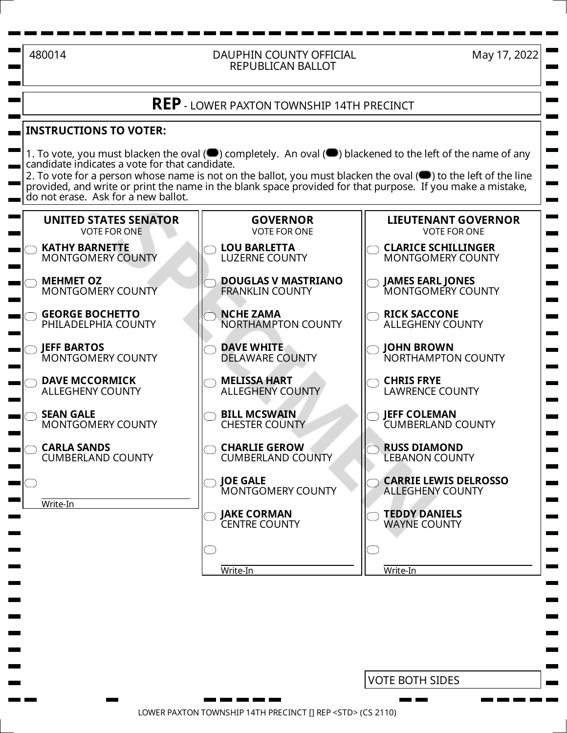## 480014 DAUPHIN COUNTY OFFICIAL REPUBLICAN BALLOT

May 17, 2022

## **REP**- LOWER PAXTON TOWNSHIP 14TH PRECINCT

## **INSTRUCTIONS TO VOTER:**

1. To vote, you must blacken the oval ( $\blacksquare$ ) completely. An oval ( $\blacksquare$ ) blackened to the left of the name of any candidate indicates a vote for that candidate.

2. To vote for a person whose name is not on the ballot, you must blacken the oval  $($ **)** to the left of the line provided, and write or print the name in the blank space provided for that purpose. If you make a mistake, do not erase. Ask for a new ballot.



VOTE BOTH SIDES